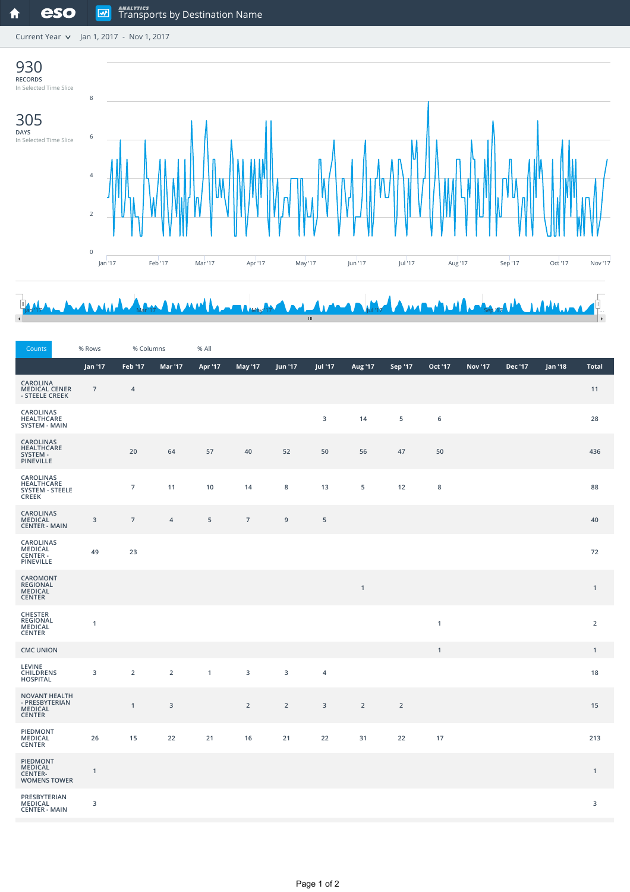Current Year  $\sqrt{ }$  Jan 1, 2017 - Nov 1, 2017



## Jan '17' May 18' MAY 18' MAY 17' MAY 18' MAY 19' MAY 17' MAY 17' MAY 17' MAY 18' MAY 17' MAY 17' MAY 17' MAY 1

| Counts                                                                     | % Rows                  | % Columns      |                | % All        |                |                |                |              |                |              |                |         |         |                |
|----------------------------------------------------------------------------|-------------------------|----------------|----------------|--------------|----------------|----------------|----------------|--------------|----------------|--------------|----------------|---------|---------|----------------|
|                                                                            | Jan '17                 | Feb '17        | Mar '17        | Apr '17      | <b>May '17</b> | Jun '17        | Jul '17        | Aug '17      | Sep '17        | Oct '17      | <b>Nov '17</b> | Dec '17 | Jan '18 | <b>Total</b>   |
| <b>CAROLINA</b><br><b>MEDICAL CENER</b><br>- STEELE CREEK                  | $\overline{7}$          | $\overline{4}$ |                |              |                |                |                |              |                |              |                |         |         | 11             |
| CAROLINAS<br>HEALTHCARE<br><b>SYSTEM - MAIN</b>                            |                         |                |                |              |                |                | 3              | 14           | 5              | 6            |                |         |         | 28             |
| CAROLINAS<br>HEALTHCARE<br>SYSTEM -<br>PINEVILLE                           |                         | 20             | 64             | 57           | 40             | 52             | 50             | 56           | 47             | 50           |                |         |         | 436            |
| CAROLINAS<br><b>HEALTHCARE</b><br><b>SYSTEM - STEELE</b><br><b>CREEK</b>   |                         | $\overline{7}$ | 11             | 10           | 14             | $\bf 8$        | 13             | 5            | 12             | $\bf 8$      |                |         |         | 88             |
| CAROLINAS<br><b>MEDICAL</b><br><b>CENTER - MAIN</b>                        | $\overline{\mathbf{3}}$ | $\overline{7}$ | $\overline{4}$ | 5            | $\overline{7}$ | 9              | 5              |              |                |              |                |         |         | 40             |
| CAROLINAS<br>MEDICAL<br>CENTER -<br>PINEVILLE                              | 49                      | 23             |                |              |                |                |                |              |                |              |                |         |         | 72             |
| CAROMONT<br><b>REGIONAL</b><br><b>MEDICAL</b><br><b>CENTER</b>             |                         |                |                |              |                |                |                | $\mathbf{1}$ |                |              |                |         |         | $\mathbf{1}$   |
| <b>CHESTER</b><br>REGIONAL<br>MEDICAL<br><b>CENTER</b>                     | $\mathbf{1}$            |                |                |              |                |                |                |              |                | $\mathbf{1}$ |                |         |         | $\overline{2}$ |
| <b>CMC UNION</b>                                                           |                         |                |                |              |                |                |                |              |                | $\mathbf{1}$ |                |         |         | $\mathbf{1}$   |
| <b>LEVINE</b><br><b>CHILDRENS</b><br><b>HOSPITAL</b>                       | $\overline{3}$          | $\overline{2}$ | $\overline{2}$ | $\mathbf{1}$ | 3              | $\overline{3}$ | $\overline{4}$ |              |                |              |                |         |         | 18             |
| <b>NOVANT HEALTH</b><br>- PRESBYTERIAN<br><b>MEDICAL</b><br><b>CENTER</b>  |                         | $\mathbf{1}$   | $\mathbf{3}$   |              | $\overline{2}$ | $\overline{2}$ | $\overline{3}$ | $\mathbf 2$  | $\overline{2}$ |              |                |         |         | 15             |
| PIEDMONT<br><b>MEDICAL</b><br><b>CENTER</b>                                | 26                      | 15             | 22             | 21           | 16             | 21             | 22             | 31           | 22             | 17           |                |         |         | 213            |
| <b>PIEDMONT</b><br><b>MEDICAL</b><br><b>CENTER-</b><br><b>WOMENS TOWER</b> | $\mathbf{1}$            |                |                |              |                |                |                |              |                |              |                |         |         | $\mathbf{1}$   |
| PRESBYTERIAN<br>MEDICAL<br><b>CENTER - MAIN</b>                            | 3                       |                |                |              |                |                |                |              |                |              |                |         |         | 3              |
|                                                                            |                         |                |                |              |                |                |                |              |                |              |                |         |         |                |